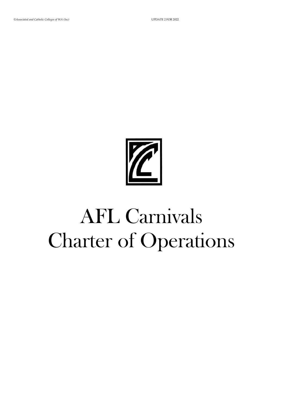# AFL Carnivals Charter of Operations

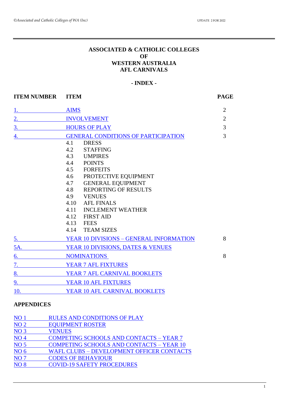#### **ASSOCIATED & CATHOLIC COLLEGES OF WESTERN AUSTRALIA AFL CARNIVALS**

#### **- INDEX -**

<span id="page-1-0"></span>

| <b>ITEM NUMBER</b>    | <b>ITEM</b>                                                                                                                                                                                                                                                                                                                                                           | <b>PAGE</b>    |
|-----------------------|-----------------------------------------------------------------------------------------------------------------------------------------------------------------------------------------------------------------------------------------------------------------------------------------------------------------------------------------------------------------------|----------------|
| $1.$ The state $\sim$ | <b>AIMS</b>                                                                                                                                                                                                                                                                                                                                                           | $\overline{2}$ |
| 2.                    | <b>INVOLVEMENT</b>                                                                                                                                                                                                                                                                                                                                                    | $\overline{2}$ |
| 3.                    | <b>HOURS OF PLAY</b>                                                                                                                                                                                                                                                                                                                                                  | 3              |
| 4.                    | <b>GENERAL CONDITIONS OF PARTICIPATION</b><br><b>DRESS</b><br>4.1<br>4.2<br><b>STAFFING</b><br>4.3 UMPIRES<br>4.4<br><b>POINTS</b><br><b>FORFEITS</b><br>4.5<br>PROTECTIVE EQUIPMENT<br>4.6<br><b>GENERAL EQUIPMENT</b><br>4.7<br><b>REPORTING OF RESULTS</b><br>4.8<br>4.9 VENUES<br>4.10<br><b>AFL FINALS</b><br><b>INCLEMENT WEATHER</b><br>4.11<br>4.12 FIRST AID | 3              |
| $\overline{5}$ .      | 4.13 FEES<br>4.14 TEAM SIZES<br>YEAR 10 DIVISIONS - GENERAL INFORMATION                                                                                                                                                                                                                                                                                               | 8              |
| 5A.                   | YEAR 10 DIVISIONS, DATES & VENUES                                                                                                                                                                                                                                                                                                                                     |                |
| 6.                    | <b>NOMINATIONS</b>                                                                                                                                                                                                                                                                                                                                                    | 8              |
| 7.                    | <b>YEAR 7 AFL FIXTURES</b>                                                                                                                                                                                                                                                                                                                                            |                |
| 8.                    | YEAR 7 AFL CARNIVAL BOOKLETS                                                                                                                                                                                                                                                                                                                                          |                |
| 9.                    | YEAR 10 AFL FIXTURES                                                                                                                                                                                                                                                                                                                                                  |                |
| 10.                   | YEAR 10 AFL CARNIVAL BOOKLETS                                                                                                                                                                                                                                                                                                                                         |                |

## **APPENDICES**

| NO <sub>1</sub> | <b>RULES AND CONDITIONS OF PLAY</b>              |
|-----------------|--------------------------------------------------|
| NO <sub>2</sub> | <b>EQUIPMENT ROSTER</b>                          |
| NO <sub>3</sub> | <b>VENUES</b>                                    |
| NO <sub>4</sub> | <b>COMPETING SCHOOLS AND CONTACTS - YEAR 7</b>   |
| NO <sub>5</sub> | <b>COMPETING SCHOOLS AND CONTACTS - YEAR 10</b>  |
| NO <sub>6</sub> | <b>WAFL CLUBS - DEVELOPMENT OFFICER CONTACTS</b> |
| NO <sub>7</sub> | <b>CODES OF BEHAVIOUR</b>                        |
| <b>NO8</b>      | <b>COVID-19 SAFETY PROCEDURES</b>                |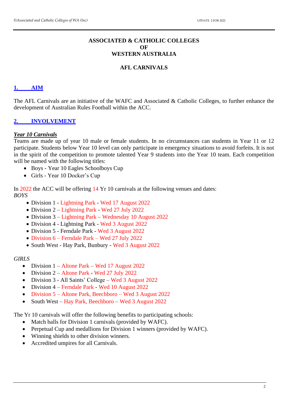#### **ASSOCIATED & CATHOLIC COLLEGES OF WESTERN AUSTRALIA**

#### **AFL CARNIVALS**

#### <span id="page-2-0"></span>**1. [AIM](#page-1-0)**

The AFL Carnivals are an initiative of the WAFC and Associated & Catholic Colleges, to further enhance the development of Australian Rules Football within the ACC.

#### <span id="page-2-1"></span>**2. [INVOLVEMENT](#page-1-0)**

#### *Year 10 Carnivals*

Teams are made up of year 10 male or female students. In no circumstances can students in Year 11 or 12 participate. Students below Year 10 level can only participate in emergency situations to avoid forfeits. It is not in the spirit of the competition to promote talented Year 9 students into the Year 10 team. Each competition will be named with the following titles:

- Boys Year 10 Eagles Schoolboys Cup
- Girls Year 10 Docker's Cup

In 2022 the ACC will be offering 14 Yr 10 carnivals at the following venues and dates: *BOYS*

- Division 1 Lightning Park Wed 17 August 2022
- Division 2 Lightning Park Wed 27 July 2022
- Division 3 Lightning Park Wednesday 10 August 2022
- Division 4 Lightning Park Wed 3 August 2022
- Division 5 Ferndale Park Wed 3 August 2022
- Division 6 Ferndale Park Wed 27 July 2022
- South West Hay Park, Bunbury Wed 3 August 2022

#### *GIRLS*

- Division 1 Altone Park Wed 17 August 2022
- Division 2 Altone Park Wed 27 July 2022
- Division 3 All Saints' College Wed 3 August 2022
- Division 4 Ferndale Park Wed 10 August 2022
- Division 5 Altone Park, Beechboro Wed 3 August 2022
- South West Hay Park, Beechboro Wed 3 August 2022

The Yr 10 carnivals will offer the following benefits to participating schools:

- Match balls for Division 1 carnivals (provided by WAFC).
- Perpetual Cup and medallions for Division 1 winners (provided by WAFC).
- Winning shields to other division winners.
- Accredited umpires for all Carnivals.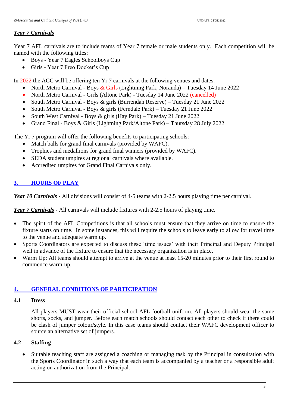#### *Year 7 Carnivals*

Year 7 AFL carnivals are to include teams of Year 7 female or male students only. Each competition will be named with the following titles:

- Boys Year 7 Eagles Schoolboys Cup
- Girls Year 7 Freo Docker's Cup

In 2022 the ACC will be offering ten Yr 7 carnivals at the following venues and dates:

- North Metro Carnival Boys  $& Girls$  (Lightning Park, Noranda) Tuesday 14 June 2022
- North Metro Carnival Girls (Altone Park) Tuesday 14 June 2022 (cancelled)
- South Metro Carnival Boys & girls (Burrendah Reserve) Tuesday 21 June 2022
- South Metro Carnival Boys & girls (Ferndale Park) Tuesday 21 June 2022
- South West Carnival Boys & girls (Hay Park) Tuesday 21 June 2022
- Grand Final Boys & Girls (Lightning Park/Altone Park) Thursday 28 July 2022

The Yr 7 program will offer the following benefits to participating schools:

- Match balls for grand final carnivals (provided by WAFC).
- Trophies and medallions for grand final winners (provided by WAFC).
- SEDA student umpires at regional carnivals where available.
- Accredited umpires for Grand Final Carnivals only.

### <span id="page-3-0"></span>**3. [HOURS OF PLAY](#page-1-0)**

*Year 10 Carnivals -* All divisions will consist of 4-5 teams with 2-2.5 hours playing time per carnival.

*Year 7 Carnivals* - All carnivals will include fixtures with 2-2.5 hours of playing time.

- The spirit of the AFL Competitions is that all schools must ensure that they arrive on time to ensure the fixture starts on time. In some instances, this will require the schools to leave early to allow for travel time to the venue and adequate warm up.
- Sports Coordinators are expected to discuss these 'time issues' with their Principal and Deputy Principal well in advance of the fixture to ensure that the necessary organization is in place.
- Warm Up: All teams should attempt to arrive at the venue at least 15-20 minutes prior to their first round to commence warm-up.

#### <span id="page-3-1"></span>**4. [GENERAL CONDITIONS OF PARTICIPATION](#page-1-0)**

#### **4.1 Dress**

All players MUST wear their official school AFL football uniform. All players should wear the same shorts, socks, and jumper. Before each match schools should contact each other to check if there could be clash of jumper colour/style. In this case teams should contact their WAFC development officer to source an alternative set of jumpers.

#### **4.2 Staffing**

• Suitable teaching staff are assigned a coaching or managing task by the Principal in consultation with the Sports Coordinator in such a way that each team is accompanied by a teacher or a responsible adult acting on authorization from the Principal.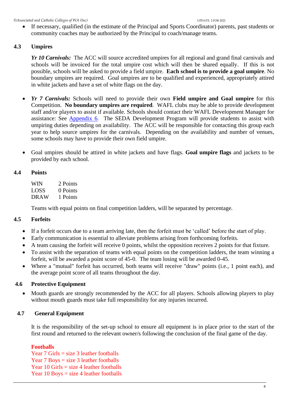If necessary, qualified (in the estimate of the Principal and Sports Coordinator) parents, past students or community coaches may be authorized by the Principal to coach/manage teams.

#### **4.3 Umpires**

*Yr 10 Carnivals:* The ACC will source accredited umpires for all regional and grand final carnivals and schools will be invoiced for the total umpire cost which will then be shared equally. If this is not possible, schools will be asked to provide a field umpire. **Each school is to provide a goal umpire**. No boundary umpires are required. Goal umpires are to be qualified and experienced, appropriately attired in white jackets and have a set of white flags on the day.

- *Yr 7 Carnivals:* Schools will need to provide their own **Field umpire and Goal umpire** for this Competition. **No boundary umpires are required**. WAFL clubs may be able to provide development staff and/or players to assist if available. Schools should contact their WAFL Development Manager for assistance: See [Appendix 6.](#page-21-0) The SEDA Development Program will provide students to assist with umpiring duties depending on availability. The ACC will be responsible for contacting this group each year to help source umpires for the carnivals. Depending on the availability and number of venues, some schools may have to provide their own field umpire.
- Goal umpires should be attired in white jackets and have flags. **Goal umpire flags** and jackets to be provided by each school.

#### **4.4 Points**

WIN 2 Points LOSS 0 Points DRAW 1 Points

Teams with equal points on final competition ladders, will be separated by percentage.

#### **4.5 Forfeits**

- If a forfeit occurs due to a team arriving late, then the forfeit must be 'called' before the start of play.
- Early communication is essential to alleviate problems arising from forthcoming forfeits.
- A team causing the forfeit will receive 0 points, whilst the opposition receives 2 points for that fixture.
- To assist with the separation of teams with equal points on the competition ladders, the team winning a forfeit, will be awarded a point score of 45-0. The team losing will be awarded 0-45.
- Where a "mutual" forfeit has occurred, both teams will receive "draw" points (i.e., 1 point each), and the average point score of all teams throughout the day.

#### **4.6 Protective Equipment**

• Mouth guards are strongly recommended by the ACC for all players. Schools allowing players to play without mouth guards must take full responsibility for any injuries incurred.

#### **4.7 General Equipment**

It is the responsibility of the set-up school to ensure all equipment is in place prior to the start of the first round and returned to the relevant owner/s following the conclusion of the final game of the day.

#### **Footballs**

Year 7 Girls = size 3 leather footballs Year 7 Boys = size 3 leather footballs Year  $10$  Girls = size 4 leather footballs Year  $10$  Boys = size 4 leather footballs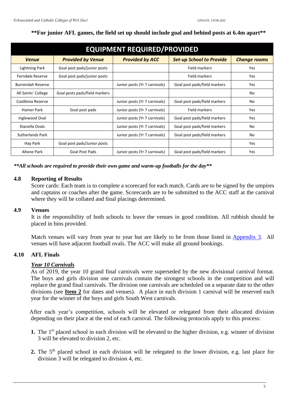| <b>EQUIPMENT REQUIRED/PROVIDED</b> |                               |                               |                                 |                     |  |  |
|------------------------------------|-------------------------------|-------------------------------|---------------------------------|---------------------|--|--|
| <b>Venue</b>                       | <b>Provided by Venue</b>      | <b>Provided by ACC</b>        | <b>Set-up School to Provide</b> | <b>Change rooms</b> |  |  |
| Lightning Park                     | Goal post pads/junior posts   |                               | Field markers                   | <b>Yes</b>          |  |  |
| <b>Ferndale Reserve</b>            | Goal post pads/junior posts   |                               | Field markers                   | <b>Yes</b>          |  |  |
| <b>Burrendah Reserve</b>           |                               | Junior posts (Yr 7 carnivals) | Goal post pads/field markers    | <b>Yes</b>          |  |  |
| All Saints' College                | Goal posts pads/field markers |                               |                                 | No                  |  |  |
| Coolbinia Reserve                  |                               | Junior posts (Yr 7 carnivals) | Goal post pads/field markers    | No                  |  |  |
| Hamer Park                         | Goal post pads                | Junior posts (Yr 7 carnivals) | Field markers                   | <b>Yes</b>          |  |  |
| Inglewood Oval                     |                               | Junior posts (Yr 7 carnivals) | Goal post pads/field markers    | Yes                 |  |  |
| Dianella Ovals                     |                               | Junior posts (Yr 7 carnivals) | Goal post pads/field markers    | No                  |  |  |
| <b>Sutherlands Park</b>            |                               | Junior posts (Yr 7 carnivals) | Goal post pads/field markers    | No                  |  |  |
| Hay Park                           | Goal post pads/Junior posts   |                               |                                 | Yes                 |  |  |
| Altone Park                        | <b>Goal Post Pads</b>         | Junior posts (Yr 7 carnivals) | Goal post pads/field markers    | Yes                 |  |  |

#### **\*\*For junior AFL games, the field set up should include goal and behind posts at 6.4m apart\*\***

*\*\*All schools are required to provide their own game and warm-up footballs for the day\*\**

#### **4.8 Reporting of Results**

Score cards: Each team is to complete a scorecard for each match. Cards are to be signed by the umpires and captains or coaches after the game. Scorecards are to be submitted to the ACC staff at the carnival where they will be collated and final placings determined.

#### **4.9 Venues**

It is the responsibility of both schools to leave the venues in good condition. All rubbish should be placed in bins provided.

Match venues will vary from year to year but are likely to be from those listed in [Appendix 3.](#page-11-0) All venues will have adjacent football ovals. The ACC will make all ground bookings.

#### **4.10 AFL Finals**

#### *Year 10 Carnivals*

As of 2019, the year 10 grand final carnivals were superseded by the new divisional carnival format. The boys and girls division one carnivals contain the strongest schools in the competition and will replace the grand final carnivals. The division one carnivals are scheduled on a separate date to the other divisions (see **[Item 2](#page-2-1)** for dates and venues). A place in each division 1 carnival will be reserved each year for the winner of the boys and girls South West carnivals.

 After each year's competition, schools will be elevated or relegated from their allocated division depending on their place at the end of each carnival. The following protocols apply to this process:

- **1.** The 1<sup>st</sup> placed school in each division will be elevated to the higher division, e.g. winner of division 3 will be elevated to division 2, etc.
- 2. The 5<sup>th</sup> placed school in each division will be relegated to the lower division, e.g. last place for division 3 will be relegated to division 4, etc.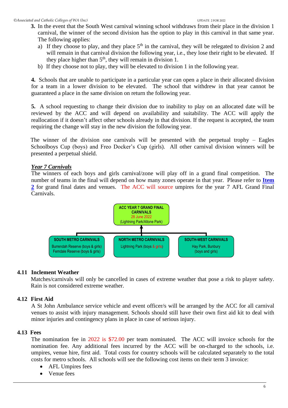- **3.** In the event that the South West carnival winning school withdraws from their place in the division 1 carnival, the winner of the second division has the option to play in this carnival in that same year. The following applies:
	- a) If they choose to play, and they place  $5<sup>th</sup>$  in the carnival, they will be relegated to division 2 and will remain in that carnival division the following year, i.e., they lose their right to be elevated. If they place higher than  $5<sup>th</sup>$ , they will remain in division 1.
	- b) If they choose not to play, they will be elevated to division 1 in the following year.

**4.** Schools that are unable to participate in a particular year can open a place in their allocated division for a team in a lower division to be elevated. The school that withdrew in that year cannot be guaranteed a place in the same division on return the following year.

**5.** A school requesting to change their division due to inability to play on an allocated date will be reviewed by the ACC and will depend on availability and suitability. The ACC will apply the reallocation if it doesn't affect other schools already in that division. If the request is accepted, the team requiring the change will stay in the new division the following year.

 The winner of the division one carnivals will be presented with the perpetual trophy – Eagles Schoolboys Cup (boys) and Freo Docker's Cup (girls). All other carnival division winners will be presented a perpetual shield.

#### *Year 7 Carnivals*

The winners of each boys and girls carnival/zone will play off in a grand final competition. The number of teams in the final will depend on how many zones operate in that year. Please refer to **[Item](#page-2-1)  [2](#page-2-1)** for grand final dates and venues. The ACC will source umpires for the year 7 AFL Grand Final Carnivals.



#### **4.11 Inclement Weather**

Matches/carnivals will only be cancelled in cases of extreme weather that pose a risk to player safety. Rain is not considered extreme weather.

#### **4.12 First Aid**

A St John Ambulance service vehicle and event officer/s will be arranged by the ACC for all carnival venues to assist with injury management. Schools should still have their own first aid kit to deal with minor injuries and contingency plans in place in case of serious injury.

#### **4.13 Fees**

The nomination fee in 2022 is \$72.00 per team nominated. The ACC will invoice schools for the nomination fee. Any additional fees incurred by the ACC will be on-charged to the schools, i.e. umpires, venue hire, first aid.Total costs for country schools will be calculated separately to the total costs for metro schools. All schools will see the following cost items on their term 3 invoice:

- AFL Umpires fees
- Venue fees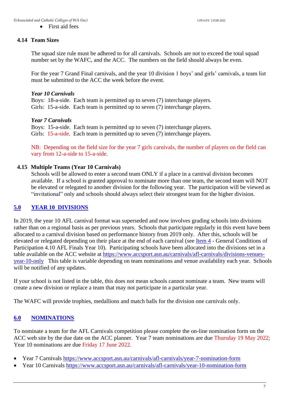• First aid fees

#### **4.14 Team Sizes**

The squad size rule must be adhered to for all carnivals. Schools are not to exceed the total squad number set by the WAFC, and the ACC. The numbers on the field should always be even.

For the year 7 Grand Final carnivals, and the year 10 division 1 boys' and girls' carnivals, a team list must be submitted to the ACC the week before the event.

#### *Year 10 Carnivals*

Boys: 18-a-side. Each team is permitted up to seven (7) interchange players. Girls: 15-a-side. Each team is permitted up to seven (7) interchange players.

#### *Year 7 Carnivals*

Boys: 15-a-side. Each team is permitted up to seven (7) interchange players. Girls: 15-a-side. Each team is permitted up to seven (7) interchange players.

NB: Depending on the field size for the year 7 girls carnivals, the number of players on the field can vary from 12-a-side to 15-a-side.

#### **4.15 Multiple Teams (Year 10 Carnivals)**

Schools will be allowed to enter a second team ONLY if a place in a carnival division becomes available. If a school is granted approval to nominate more than one team, the second team will NOT be elevated or relegated to another division for the following year. The participation will be viewed as "invitational" only and schools should always select their strongest team for the higher division.

#### <span id="page-7-0"></span>**5.0 [YEAR 10 DIVISIONS](#page-1-0)**

In 2019, the year 10 AFL carnival format was superseded and now involves grading schools into divisions rather than on a regional basis as per previous years. Schools that participate regularly in this event have been allocated to a carnival division based on performance history from 2019 only. After this, schools will be elevated or relegated depending on their place at the end of each carnival (see [Item 4](#page-3-1) - General Conditions of Participation 4.10 AFL Finals Year 10). Participating schools have been allocated into the divisions set in a table available on the ACC website at [https://www.accsport.asn.au/carnivals/afl-carnivals/divisions-venues](https://www.accsport.asn.au/carnivals/afl-carnivals/divisions-venues-year-10-only)[year-10-only](https://www.accsport.asn.au/carnivals/afl-carnivals/divisions-venues-year-10-only) This table is variable depending on team nominations and venue availability each year. Schools will be notified of any updates.

If your school is not listed in the table, this does not mean schools cannot nominate a team. New teams will create a new division or replace a team that may not participate in a particular year.

The WAFC will provide trophies, medallions and match balls for the division one carnivals only.

#### <span id="page-7-1"></span>**6.0 [NOMINATIONS](#page-1-0)**

To nominate a team for the AFL Carnivals competition please complete the on-line nomination form on the ACC web site by the due date on the ACC planner. Year 7 team nominations are due Thursday 19 May 2022; Year 10 nominations are due Friday 17 June 2022.

- Year 7 Carnivals <https://www.accsport.asn.au/carnivals/afl-carnivals/year-7-nomination-form>
- Year 10 Carnivals<https://www.accsport.asn.au/carnivals/afl-carnivals/year-10-nomination-form>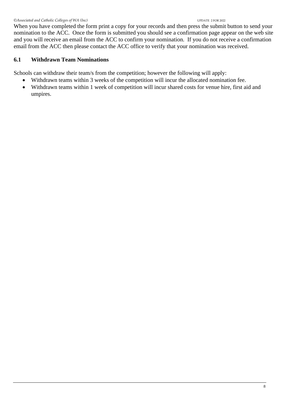When you have completed the form print a copy for your records and then press the submit button to send your nomination to the ACC. Once the form is submitted you should see a confirmation page appear on the web site and you will receive an email from the ACC to confirm your nomination. If you do not receive a confirmation email from the ACC then please contact the ACC office to verify that your nomination was received.

#### **6.1 Withdrawn Team Nominations**

Schools can withdraw their team/s from the competition; however the following will apply:

- Withdrawn teams within 3 weeks of the competition will incur the allocated nomination fee.
- Withdrawn teams within 1 week of competition will incur shared costs for venue hire, first aid and umpires.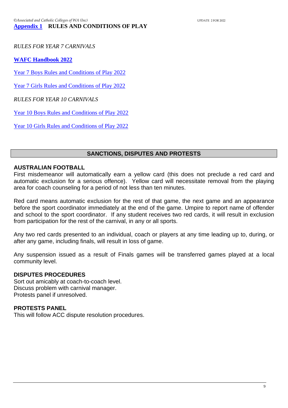*RULES FOR YEAR 7 CARNIVALS*

**[WAFC Handbook 2022](https://clubhub.wafc.com.au/?chid=19990&lid=0&rid=0&cid=0,51,62,67,52,66,63,75,76,65,64&search=)**

[Year 7 Boys Rules and Conditions of Play 2022](https://www.wafooty.com.au/download/d/RRr2KCDagOO7QhQcVJE6TadEi54XTven-bCH1Rn6aaQ)

[Year 7 Girls Rules and Conditions of Play 2022](https://www.wafooty.com.au/download/d/HTiXm6w6rgGuE6_kU83_8fbmYxotmX_wYOazlDbDp58)

*RULES FOR YEAR 10 CARNIVALS*

[Year 10 Boys Rules and Conditions of Play 2022](https://www.wafooty.com.au/download/d/EB-lm53PNpmcesOKV_t1dYv-BlTpem2QWasd-Qrvqok)

[Year 10 Girls Rules and Conditions of Play 2022](https://www.wafooty.com.au/download/d/kbGvF09jhbil3sMpsfvtYdDvMxJoNSO924eU8skTG1M)

#### **SANCTIONS, DISPUTES AND PROTESTS**

#### **AUSTRALIAN FOOTBALL**

First misdemeanor will automatically earn a yellow card (this does not preclude a red card and automatic exclusion for a serious offence). Yellow card will necessitate removal from the playing area for coach counseling for a period of not less than ten minutes.

Red card means automatic exclusion for the rest of that game, the next game and an appearance before the sport coordinator immediately at the end of the game. Umpire to report name of offender and school to the sport coordinator. If any student receives two red cards, it will result in exclusion from participation for the rest of the carnival, in any or all sports.

Any two red cards presented to an individual, coach or players at any time leading up to, during, or after any game, including finals, will result in loss of game.

Any suspension issued as a result of Finals games will be transferred games played at a local community level.

#### **DISPUTES PROCEDURES**

Sort out amicably at coach-to-coach level. Discuss problem with carnival manager. Protests panel if unresolved.

#### **PROTESTS PANEL**

This will follow ACC dispute resolution procedures.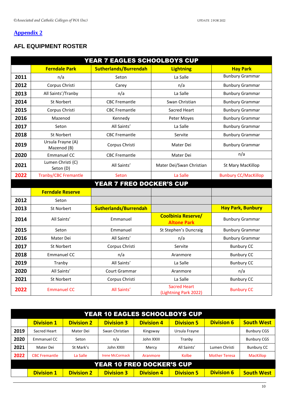#### <span id="page-10-0"></span>**[Appendix 2](#page-1-0)**

## **AFL EQUIPMENT ROSTER**

|      | YEAR 7 EAGLES SCHOOLBOYS CUP     |                                 |                                                 |                             |  |  |  |  |
|------|----------------------------------|---------------------------------|-------------------------------------------------|-----------------------------|--|--|--|--|
|      | <b>Ferndale Park</b>             | <b>Sutherlands/Burrendah</b>    | <b>Lightning</b>                                | <b>Hay Park</b>             |  |  |  |  |
| 2011 | n/a                              | Seton                           | La Salle                                        | <b>Bunbury Grammar</b>      |  |  |  |  |
| 2012 | Corpus Christi                   | Carey                           | n/a                                             | <b>Bunbury Grammar</b>      |  |  |  |  |
| 2013 | All Saints'/Tranby               | n/a                             | La Salle                                        | <b>Bunbury Grammar</b>      |  |  |  |  |
| 2014 | St Norbert                       | <b>CBC Fremantle</b>            | Swan Christian                                  | <b>Bunbury Grammar</b>      |  |  |  |  |
| 2015 | Corpus Christi                   | <b>CBC</b> Fremantle            | Sacred Heart                                    | <b>Bunbury Grammar</b>      |  |  |  |  |
| 2016 | Mazenod                          | Kennedy                         | Peter Moyes                                     | <b>Bunbury Grammar</b>      |  |  |  |  |
| 2017 | Seton                            | All Saints'                     | La Salle                                        | <b>Bunbury Grammar</b>      |  |  |  |  |
| 2018 | St Norbert                       | <b>CBC Fremantle</b>            | Servite                                         | <b>Bunbury Grammar</b>      |  |  |  |  |
| 2019 | Ursula Frayne (A)<br>Mazenod (B) | Corpus Christi                  | Mater Dei                                       | <b>Bunbury Grammar</b>      |  |  |  |  |
| 2020 | <b>Emmanuel CC</b>               | <b>CBC</b> Fremantle            | Mater Dei                                       | n/a                         |  |  |  |  |
| 2021 | Lumen Christi (C)<br>Seton (D)   | All Saints'                     | Mater Dei/Swan Christian                        | St Mary MacKillop           |  |  |  |  |
| 2022 | <b>Tranby/CBC Fremantle</b>      | Seton                           | La Salle                                        | <b>Bunbury CC/MacKillop</b> |  |  |  |  |
|      |                                  | <b>YEAR 7 FREO DOCKER'S CUP</b> |                                                 |                             |  |  |  |  |
|      | <b>Ferndale Reserve</b>          |                                 |                                                 |                             |  |  |  |  |
| 2012 | Seton                            |                                 |                                                 |                             |  |  |  |  |
| 2013 | St Norbert                       | <b>Sutherlands/Burrendah</b>    |                                                 | <b>Hay Park, Bunbury</b>    |  |  |  |  |
| 2014 | All Saints'                      | Emmanuel                        | <b>Coolbinia Reserve/</b><br><b>Altone Park</b> | <b>Bunbury Grammar</b>      |  |  |  |  |
| 2015 | Seton                            | Emmanuel                        | St Stephen's Duncraig                           | <b>Bunbury Grammar</b>      |  |  |  |  |
| 2016 |                                  |                                 |                                                 |                             |  |  |  |  |
|      | Mater Dei                        | All Saints'                     | n/a                                             | <b>Bunbury Grammar</b>      |  |  |  |  |
| 2017 | St Norbert                       | Corpus Christi                  | Servite                                         | <b>Bunbury CC</b>           |  |  |  |  |
| 2018 | <b>Emmanuel CC</b>               | n/a                             | Aranmore                                        | <b>Bunbury CC</b>           |  |  |  |  |
| 2019 | Tranby                           | All Saints'                     | La Salle                                        | <b>Bunbury CC</b>           |  |  |  |  |
| 2020 | All Saints'                      | Court Grammar                   | Aranmore                                        | n/a                         |  |  |  |  |
| 2021 | St Norbert                       | Corpus Christi                  | La Salle<br><b>Sacred Heart</b>                 | <b>Bunbury CC</b>           |  |  |  |  |

| <b>YEAR 10 EAGLES SCHOOLBOYS CUP</b> |                      |                   |                        |                   |                   |                      |                    |
|--------------------------------------|----------------------|-------------------|------------------------|-------------------|-------------------|----------------------|--------------------|
|                                      | <b>Division 1</b>    | <b>Division 2</b> | <b>Division 3</b>      | <b>Division 4</b> | <b>Division 5</b> | <b>Division 6</b>    | <b>South West</b>  |
| 2019                                 | Sacred Heart         | Mater Dei         | Swan Christian         | Kingsway          | Ursula Frayne     |                      | <b>Bunbury CGS</b> |
| 2020                                 | Emmanuel CC          | Seton             | n/a                    | John XXIII        | Tranby            |                      | <b>Bunbury CGS</b> |
| 2021                                 | Mater Dei            | St Mark's         | John XXIII             | Mercy             | All Saints'       | Lumen Christi        | <b>Bunbury CC</b>  |
| 2022                                 | <b>CBC Fremantle</b> | La Salle          | <b>Irene McCormack</b> | Aranmore          | Kolbe             | <b>Mother Teresa</b> | <b>MacKillop</b>   |
| <b>YEAR 10 FREO DOCKER'S CUP</b>     |                      |                   |                        |                   |                   |                      |                    |
|                                      | <b>Division 1</b>    | <b>Division 2</b> | <b>Division 3</b>      | <b>Division 4</b> | <b>Division 5</b> | <b>Division 6</b>    | <b>South West</b>  |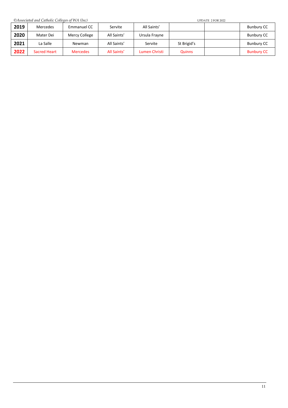*©Associated and Catholic Colleges of WA (Inc)* UPDATE 2 FOR 2022

<span id="page-11-0"></span>

| 2019 | Mercedes     | Emmanuel CC     | Servite     | All Saints'   |               | Bunbury CC        |
|------|--------------|-----------------|-------------|---------------|---------------|-------------------|
| 2020 | Mater Dei    | Mercy College   | All Saints' | Ursula Frayne |               | <b>Bunbury CC</b> |
| 2021 | La Salle     | Newman          | All Saints' | Servite       | St Brigid's   | Bunbury CC        |
| 2022 | Sacred Heart | <b>Mercedes</b> | All Saints' | Lumen Christi | <b>Quinns</b> | <b>Bunbury CC</b> |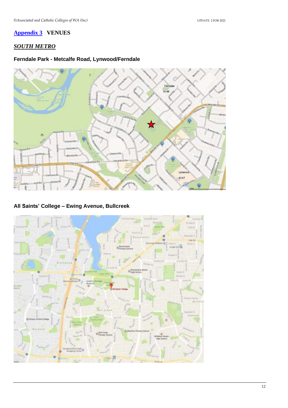#### **[Appendix 3](#page-1-0) VENUES**

## *SOUTH METRO*

#### **Ferndale Park - Metcalfe Road, Lynwood/Ferndale**



#### **All Saints' College – Ewing Avenue, Bullcreek**

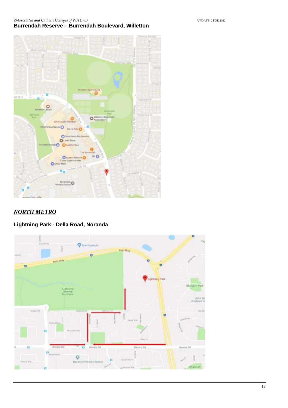#### *©Associated and Catholic Colleges of WA (Inc)* UPDATE 2 FOR 2022 **Burrendah Reserve – Burrendah Boulevard, Willetton**



## *NORTH METRO*

## **Lightning Park - Della Road, Noranda**

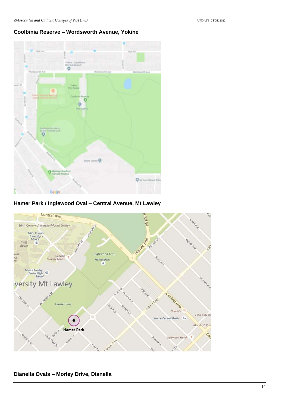#### **Coolbinia Reserve – Wordsworth Avenue, Yokine**



#### **Hamer Park / Inglewood Oval – Central Avenue, Mt Lawley**



#### **Dianella Ovals – Morley Drive, Dianella**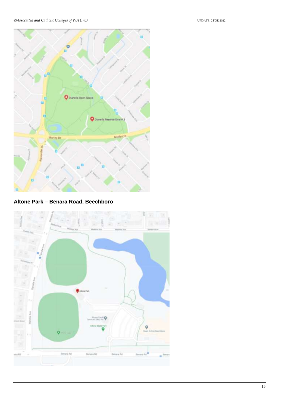

**Altone Park – Benara Road, Beechboro**

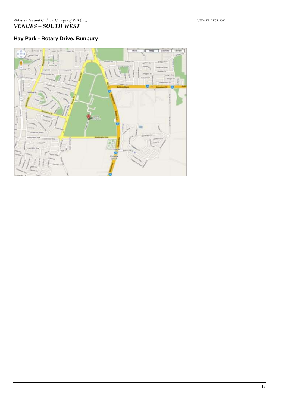## **Hay Park - Rotary Drive, Bunbury**

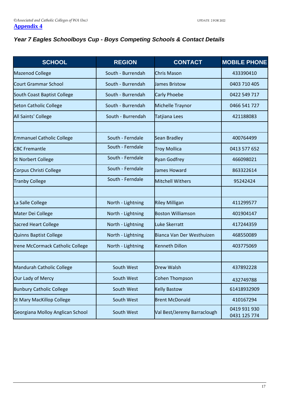## <span id="page-17-0"></span>*Year 7 Eagles Schoolboys Cup - Boys Competing Schools & Contact Details*

| <b>SCHOOL</b>                    | <b>REGION</b>                             | <b>CONTACT</b>            | <b>MOBILE PHONE</b>          |
|----------------------------------|-------------------------------------------|---------------------------|------------------------------|
| <b>Mazenod College</b>           | South - Burrendah                         | <b>Chris Mason</b>        | 433390410                    |
| <b>Court Grammar School</b>      | South - Burrendah                         | <b>James Bristow</b>      | 0403 710 405                 |
| South Coast Baptist College      | South - Burrendah                         | <b>Carly Phoebe</b>       | 0422 549 717                 |
| <b>Seton Catholic College</b>    | South - Burrendah                         | Michelle Traynor          | 0466 541 727                 |
| All Saints' College              | South - Burrendah                         | Tatjiana Lees             | 421188083                    |
|                                  |                                           |                           |                              |
| <b>Emmanuel Catholic College</b> | South - Ferndale                          | <b>Sean Bradley</b>       | 400764499                    |
| <b>CBC Fremantle</b>             | South - Ferndale                          | <b>Troy Mollica</b>       | 0413 577 652                 |
| <b>St Norbert College</b>        | South - Ferndale                          | <b>Ryan Godfrey</b>       | 466098021                    |
| Corpus Christi College           | South - Ferndale                          | James Howard              | 863322614                    |
| <b>Tranby College</b>            | South - Ferndale                          | Mitchell Withers          | 95242424                     |
|                                  |                                           |                           |                              |
| La Salle College                 | North - Lightning                         | <b>Riley Milligan</b>     | 411299577                    |
| Mater Dei College                | North - Lightning                         | <b>Boston Williamson</b>  | 401904147                    |
| <b>Sacred Heart College</b>      | North - Lightning                         | Luke Skerratt             | 417244359                    |
| Quinns Baptist College           | North - Lightning                         | Bianca Van Der Westhuizen | 468550089                    |
| Irene McCormack Catholic College | North - Lightning                         | <b>Kenneth Dillon</b>     | 403775069                    |
|                                  |                                           |                           |                              |
| Mandurah Catholic College        | South West                                | <b>Drew Walsh</b>         | 437892228                    |
| Our Lady of Mercy                | South West                                | <b>Cohen Thompson</b>     | 432749788                    |
| <b>Bunbury Catholic College</b>  | South West                                | <b>Kelly Bastow</b>       | 61418932909                  |
| <b>St Mary MacKillop College</b> | South West                                | <b>Brent McDonald</b>     | 410167294                    |
| Georgiana Molloy Anglican School | Val Best/Jeremy Barraclough<br>South West |                           | 0419 931 930<br>0431 125 774 |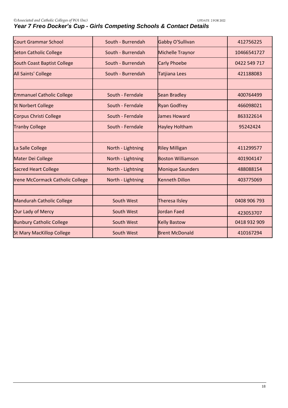| <b>Court Grammar School</b>             | South - Burrendah | Gabby O'Sullivan         | 412756225    |
|-----------------------------------------|-------------------|--------------------------|--------------|
| <b>Seton Catholic College</b>           | South - Burrendah | <b>Michelle Traynor</b>  | 10466541727  |
| South Coast Baptist College             | South - Burrendah | <b>Carly Phoebe</b>      | 0422 549 717 |
| All Saints' College                     | South - Burrendah | Tatjiana Lees            | 421188083    |
|                                         |                   |                          |              |
| <b>Emmanuel Catholic College</b>        | South - Ferndale  | <b>Sean Bradley</b>      | 400764499    |
| <b>St Norbert College</b>               | South - Ferndale  | <b>Ryan Godfrey</b>      | 466098021    |
| <b>Corpus Christi College</b>           | South - Ferndale  | James Howard             | 863322614    |
| <b>Tranby College</b>                   | South - Ferndale  | <b>Hayley Holtham</b>    | 95242424     |
|                                         |                   |                          |              |
| La Salle College                        | North - Lightning | <b>Riley Milligan</b>    | 411299577    |
| Mater Dei College                       | North - Lightning | <b>Boston Williamson</b> | 401904147    |
| <b>Sacred Heart College</b>             | North - Lightning | <b>Monique Saunders</b>  | 488088154    |
| <b>Irene McCormack Catholic College</b> | North - Lightning | <b>Kenneth Dillon</b>    | 403775069    |
|                                         |                   |                          |              |
| <b>Mandurah Catholic College</b>        | South West        | <b>Theresa Ilsley</b>    | 0408 906 793 |
| Our Lady of Mercy                       | South West        | Jordan Faed              | 423053707    |
| <b>Bunbury Catholic College</b>         | South West        | <b>Kelly Bastow</b>      | 0418 932 909 |
| <b>St Mary MacKillop College</b>        | South West        | <b>Brent McDonald</b>    | 410167294    |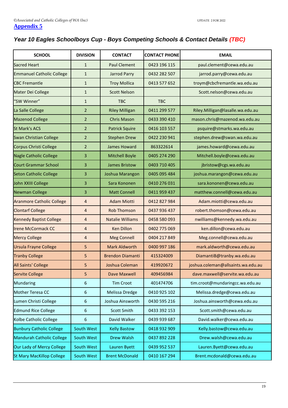## <span id="page-19-0"></span>*Year 10 Eagles Schoolboys Cup - Boys Competing Schools & Contact Details (TBC)*

| <b>SCHOOL</b>                    | <b>DIVISION</b> | <b>CONTACT</b>          | <b>CONTACT PHONE</b> | <b>EMAIL</b>                       |
|----------------------------------|-----------------|-------------------------|----------------------|------------------------------------|
| <b>Sacred Heart</b>              | $\mathbf{1}$    | <b>Paul Clement</b>     | 0423 196 115         | paul.clement@cewa.edu.au           |
| <b>Emmanuel Catholic College</b> | $\mathbf{1}$    | <b>Jarrod Parry</b>     | 0432 282 507         | jarrod.parry@cewa.edu.au           |
| <b>CBC Fremantle</b>             | $\mathbf{1}$    | <b>Troy Mollica</b>     | 0413 577 652         | troym@cbcfremantle.wa.edu.au       |
| Mater Dei College                | $\mathbf{1}$    | <b>Scott Nelson</b>     |                      | Scott.nelson@cewa.edu.au           |
| "SW Winner"                      | $\mathbf{1}$    | <b>TBC</b>              | <b>TBC</b>           |                                    |
| La Salle College                 | $\overline{2}$  | <b>Riley Milligan</b>   | 0411 299 577         | Riley.Milligan@lasalle.wa.edu.au   |
| <b>Mazenod College</b>           | $\overline{2}$  | <b>Chris Mason</b>      | 0433 390 410         | mason.chris@mazenod.wa.edu.au      |
| <b>St Mark's ACS</b>             | 2               | <b>Patrick Squire</b>   | 0416 103 557         | psquire@stmarks.wa.edu.au          |
| <b>Swan Christian College</b>    | $\overline{2}$  | <b>Stephen Drew</b>     | 0422 230 941         | stephen.drew@swan.wa.edu.au        |
| Corpus Christi College           | $\overline{2}$  | <b>James Howard</b>     | 863322614            | james.howard@cewa.edu.au           |
| <b>Nagle Catholic College</b>    | 3               | <b>Mitchell Boyle</b>   | 0405 274 290         | Mitchell.boyle@cewa.edu.au         |
| <b>Court Grammar School</b>      | 3               | <b>James Bristow</b>    | 0403 710 405         | jbristow@cgs.wa.edu.au             |
| <b>Seton Catholic College</b>    | 3               | Joshua Marangon         | 0405 095 484         | joshua.marangon@cewa.edu.au        |
| John XXIII College               | 3               | Sara Kononen            | 0410 276 031         | sara.kononen@cewa.edu.au           |
| <b>Newman College</b>            | 3               | <b>Matt Connell</b>     | 0411 959 437         | matthew.connell@cewa.edu.au        |
| <b>Aranmore Catholic College</b> | 4               | <b>Adam Miotti</b>      | 0412 827 984         | Adam.miotti@cewa.edu.au            |
| <b>Clontarf College</b>          | 4               | <b>Rob Thomson</b>      | 0437 936 437         | robert.thomson@cewa.edu.au         |
| <b>Kennedy Baptist College</b>   | $\overline{4}$  | <b>Natalie Williams</b> | 0458 580 093         | nwilliams@kennedy.wa.edu.au        |
| <b>Irene McCormack CC</b>        | 4               | <b>Ken Dillon</b>       | 0402 775 069         | ken.dillon@cewa.edu.au             |
| <b>Mercy College</b>             | 4               | <b>Meg Connell</b>      | 0404 217 849         | Meg.connell@cewa.edu.au            |
| <b>Ursula Frayne College</b>     | 5               | <b>Mark Aldworth</b>    | 0400 997 186         | mark.aldworth@cewa.edu.au          |
| <b>Tranby College</b>            | 5               | <b>Brendon Diamanti</b> | 415324009            | DiamantiB@tranby.wa.edu.au         |
| <b>All Saints' College</b>       | 5               | Joshua Coleman          | 419920672            | joshua.coleman@allsaints.wa.edu.au |
| <b>Servite College</b>           | 5               | Dave Maxwell            | 409456984            | dave.maxwell@servite.wa.edu.au     |
| <b>Mundaring</b>                 | 6               | <b>Tim Croot</b>        | 401474706            | tim.croot@mundaringcc.wa.edu.au    |
| Mother Teresa CC                 | 6               | Melissa Dredge          | 0410 925 102         | Melissa.dredge@cewa.edu.au         |
| Lumen Christi College            | 6               | Joshua Ainsworth        | 0430 595 216         | Joshua.ainsworth@cewa.edu.au       |
| <b>Edmund Rice College</b>       | 6               | Scott Smith             | 0433 392 153         | Scott.smith@cewa.edu.au            |
| Kolbe Catholic College           | 6               | David Walker            | 0439 939 687         | David.walker@cewa.edu.au           |
| <b>Bunbury Catholic College</b>  | South West      | <b>Kelly Bastow</b>     | 0418 932 909         | Kelly.bastow@cewa.edu.au           |
| Mandurah Catholic College        | South West      | <b>Drew Walsh</b>       | 0437 892 228         | Drew.walsh@cewa.edu.au             |
| Our Lady of Mercy College        | South West      | Lauren Byett            | 0439 952 537         | Lauren.Byett@cewa.edu.au           |
| <b>St Mary MacKillop College</b> | South West      | <b>Brent McDonald</b>   | 0410 167 294         | Brent.mcdonald@cewa.edu.au         |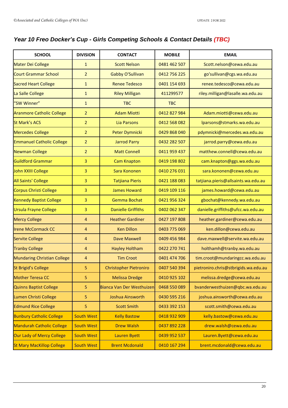## *Year 10 Freo Docker's Cup - Girls Competing Schools & Contact Details (TBC)*

| <b>SCHOOL</b>                      | <b>DIVISION</b>   | <b>CONTACT</b>                | <b>MOBILE</b> | <b>EMAIL</b>                         |
|------------------------------------|-------------------|-------------------------------|---------------|--------------------------------------|
| <b>Mater Dei College</b>           | $\mathbf{1}$      | <b>Scott Nelson</b>           | 0481 462 507  | Scott.nelson@cewa.edu.au             |
| <b>Court Grammar School</b>        | $\overline{2}$    | Gabby O'Sullivan              | 0412 756 225  | go'sullivan@cgs.wa.edu.au            |
| <b>Sacred Heart College</b>        | $\mathbf{1}$      | <b>Renee Tedesco</b>          | 0401 154 693  | renee.tedesco@cewa.edu.au            |
| La Salle College                   | $\mathbf{1}$      | <b>Riley Milligan</b>         | 411299577     | riley.milligan@lasalle.wa.edu.au     |
| "SW Winner"                        | $\mathbf{1}$      | <b>TBC</b>                    | <b>TBC</b>    |                                      |
| <b>Aranmore Catholic College</b>   | $\overline{2}$    | <b>Adam Miotti</b>            | 0412 827 984  | Adam.miotti@cewa.edu.au              |
| <b>St Mark's ACS</b>               | $\overline{2}$    | Lia Parsons                   | 0412 568 082  | lparsons@stmarks.wa.edu.au           |
| <b>Mercedes College</b>            | $\overline{2}$    | Peter Dymnicki                | 0429 868 040  | pdymnicki@mercedes.wa.edu.au         |
| <b>Emmanuel Catholic College</b>   | $\overline{2}$    | <b>Jarrod Parry</b>           | 0432 282 507  | jarrod.parry@cewa.edu.au             |
| <b>Newman College</b>              | $\overline{2}$    | <b>Matt Connell</b>           | 0411 959 437  | matthew.connell@cewa.edu.au          |
| <b>Guildford Grammar</b>           | 3                 | <b>Cam Knapton</b>            | 0419 198 802  | cam.knapton@ggs.wa.edu.au            |
| John XXIII College                 | 3                 | Sara Kononen                  | 0410 276 031  | sara.kononen@cewa.edu.au             |
| <b>All Saints' College</b>         | 3                 | <b>Tatjiana Pieris</b>        | 0421 188 083  | tatjiana.pieris@allsaints.wa.edu.au  |
| <b>Corpus Christi College</b>      | 3                 | <b>James Howard</b>           | 0419 109 116  | james.howard@cewa.edu.au             |
| <b>Kennedy Baptist College</b>     | 3                 | <b>Gemma Bochat</b>           | 0421 956 324  | gbochat@kennedy.wa.edu.au            |
| <b>Ursula Frayne College</b>       | 3                 | <b>Danielle Griffiths</b>     | 0402 062 347  | danielle.griffiths@ufcc.wa.edu.au    |
| <b>Mercy College</b>               | 4                 | <b>Heather Gardiner</b>       | 0427 197 808  | heather.gardiner@cewa.edu.au         |
| <b>Irene McCormack CC</b>          | 4                 | <b>Ken Dillon</b>             | 0403 775 069  | ken.dillon@cewa.edu.au               |
| <b>Servite College</b>             | 4                 | <b>Dave Maxwell</b>           | 0409 456 984  | dave.maxwell@servite.wa.edu.au       |
| <b>Tranby College</b>              | 4                 | <b>Hayley Holtham</b>         | 0422 270 741  | holthamh@tranby.wa.edu.au            |
| <b>Mundaring Christian College</b> | 4                 | <b>Tim Croot</b>              | 0401 474 706  | tim.croot@mundaringcc.wa.edu.au      |
| <b>St Brigid's College</b>         | 5                 | <b>Christopher Pietroniro</b> | 0407 540 394  | pietroniro.chris@stbrigids.wa.edu.au |
| <b>Mother Teresa CC</b>            | 5                 | <b>Melissa Dredge</b>         | 0410 925 102  | melissa.dredge@cewa.edu.au           |
| <b>Quinns Baptist College</b>      | 5                 | Bianca Van Der Westhuizen     | 0468 550 089  | bvanderwesthuizen@qbc.wa.edu.au      |
| Lumen Christi College              | 5                 | Joshua Ainsworth              | 0430 595 216  | joshua.ainsworth@cewa.edu.au         |
| <b>Edmund Rice College</b>         | 5                 | <b>Scott Smith</b>            | 0433 392 153  | scott.smith@cewa.edu.au              |
| <b>Bunbury Catholic College</b>    | <b>South West</b> | <b>Kelly Bastow</b>           | 0418 932 909  | kelly.bastow@cewa.edu.au             |
| <b>Mandurah Catholic College</b>   | <b>South West</b> | <b>Drew Walsh</b>             | 0437 892 228  | drew.walsh@cewa.edu.au               |
| Our Lady of Mercy College          | <b>South West</b> | <b>Lauren Byett</b>           | 0439 952 537  | Lauren.Byett@cewa.edu.au             |
| <b>St Mary MacKillop College</b>   | <b>South West</b> | <b>Brent Mcdonald</b>         | 0410 167 294  | brent.mcdonald@cewa.edu.au           |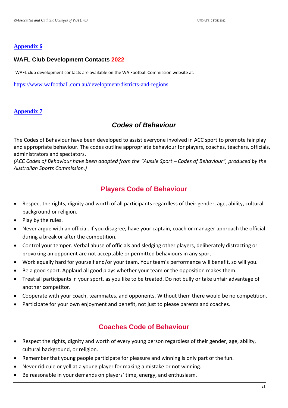#### <span id="page-21-0"></span>**[Appendix 6](#page-1-0)**

#### **WAFL Club Development Contacts 2022**

WAFL club development contacts are available on the WA Football Commission website at:

<https://www.wafootball.com.au/development/districts-and-regions>

#### <span id="page-21-1"></span>**[Appendix](#page-1-0) 7**

## *Codes of Behaviour*

The Codes of Behaviour have been developed to assist everyone involved in ACC sport to promote fair play and appropriate behaviour. The codes outline appropriate behaviour for players, coaches, teachers, officials, administrators and spectators.

*(ACC Codes of Behaviour have been adopted from the "Aussie Sport – Codes of Behaviour", produced by the Australian Sports Commission.)*

## **Players Code of Behaviour**

- Respect the rights, dignity and worth of all participants regardless of their gender, age, ability, cultural background or religion.
- Play by the rules.
- Never argue with an official. If you disagree, have your captain, coach or manager approach the official during a break or after the competition.
- Control your temper. Verbal abuse of officials and sledging other players, deliberately distracting or provoking an opponent are not acceptable or permitted behaviours in any sport.
- Work equally hard for yourself and/or your team. Your team's performance will benefit, so will you.
- Be a good sport. Applaud all good plays whether your team or the opposition makes them.
- Treat all participants in your sport, as you like to be treated. Do not bully or take unfair advantage of another competitor.
- Cooperate with your coach, teammates, and opponents. Without them there would be no competition.
- Participate for your own enjoyment and benefit, not just to please parents and coaches.

## **Coaches Code of Behaviour**

- Respect the rights, dignity and worth of every young person regardless of their gender, age, ability, cultural background, or religion.
- Remember that young people participate for pleasure and winning is only part of the fun.
- Never ridicule or yell at a young player for making a mistake or not winning.
- Be reasonable in your demands on players' time, energy, and enthusiasm.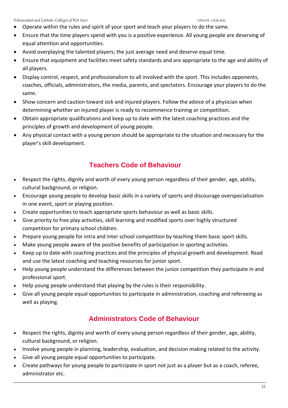- Operate within the rules and spirit of your sport and teach your players to do the same.
- Ensure that the time players spend with you is a positive experience. All young people are deserving of equal attention and opportunities.
- Avoid overplaying the talented players; the just average need and deserve equal time.
- Ensure that equipment and facilities meet safety standards and are appropriate to the age and ability of all players.
- Display control, respect, and professionalism to all involved with the sport. This includes opponents, coaches, officials, administrators, the media, parents, and spectators. Encourage your players to do the same.
- Show concern and caution toward sick and injured players. Follow the advice of a physician when determining whether an injured player is ready to recommence training or competition.
- Obtain appropriate qualifications and keep up to date with the latest coaching practices and the principles of growth and development of young people.
- Any physical contact with a young person should be appropriate to the situation and necessary for the player's skill development.

## **Teachers Code of Behaviour**

- Respect the rights, dignity and worth of every young person regardless of their gender, age, ability, cultural background, or religion.
- Encourage young people to develop basic skills in a variety of sports and discourage overspecialisation in one event, sport or playing position.
- Create opportunities to teach appropriate sports behaviour as well as basic skills.
- Give priority to free play activities, skill learning and modified sports over highly structured competition for primary school children.
- Prepare young people for intra and inter school competition by teaching them basic sport skills.
- Make young people aware of the positive benefits of participation in sporting activities.
- Keep up to date with coaching practices and the principles of physical growth and development. Read and use the latest coaching and teaching resources for junior sport.
- Help young people understand the differences between the junior competition they participate in and professional sport.
- Help young people understand that playing by the rules is their responsibility.
- Give all young people equal opportunities to participate in administration, coaching and refereeing as well as playing.

## **Administrators Code of Behaviour**

- Respect the rights, dignity and worth of every young person regardless of their gender, age, ability, cultural background, or religion.
- Involve young people in planning, leadership, evaluation, and decision making related to the activity.
- Give all young people equal opportunities to participate.
- Create pathways for young people to participate in sport not just as a player but as a coach, referee, administrator etc.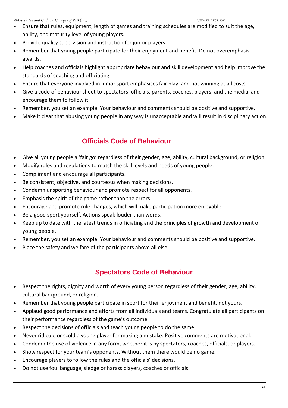- Ensure that rules, equipment, length of games and training schedules are modified to suit the age, ability, and maturity level of young players.
- Provide quality supervision and instruction for junior players.
- Remember that young people participate for their enjoyment and benefit. Do not overemphasis awards.
- Help coaches and officials highlight appropriate behaviour and skill development and help improve the standards of coaching and officiating.
- Ensure that everyone involved in junior sport emphasises fair play, and not winning at all costs.
- Give a code of behaviour sheet to spectators, officials, parents, coaches, players, and the media, and encourage them to follow it.
- Remember, you set an example. Your behaviour and comments should be positive and supportive.
- Make it clear that abusing young people in any way is unacceptable and will result in disciplinary action.

## **Officials Code of Behaviour**

- Give all young people a 'fair go' regardless of their gender, age, ability, cultural background, or religion.
- Modify rules and regulations to match the skill levels and needs of young people.
- Compliment and encourage all participants.
- Be consistent, objective, and courteous when making decisions.
- Condemn unsporting behaviour and promote respect for all opponents.
- Emphasis the spirit of the game rather than the errors.
- Encourage and promote rule changes, which will make participation more enjoyable.
- Be a good sport yourself. Actions speak louder than words.
- Keep up to date with the latest trends in officiating and the principles of growth and development of young people.
- Remember, you set an example. Your behaviour and comments should be positive and supportive.
- Place the safety and welfare of the participants above all else.

## **Spectators Code of Behaviour**

- Respect the rights, dignity and worth of every young person regardless of their gender, age, ability, cultural background, or religion.
- Remember that young people participate in sport for their enjoyment and benefit, not yours.
- Applaud good performance and efforts from all individuals and teams. Congratulate all participants on their performance regardless of the game's outcome.
- Respect the decisions of officials and teach young people to do the same.
- Never ridicule or scold a young player for making a mistake. Positive comments are motivational.
- Condemn the use of violence in any form, whether it is by spectators, coaches, officials, or players.
- Show respect for your team's opponents. Without them there would be no game.
- Encourage players to follow the rules and the officials' decisions.
- Do not use foul language, sledge or harass players, coaches or officials.